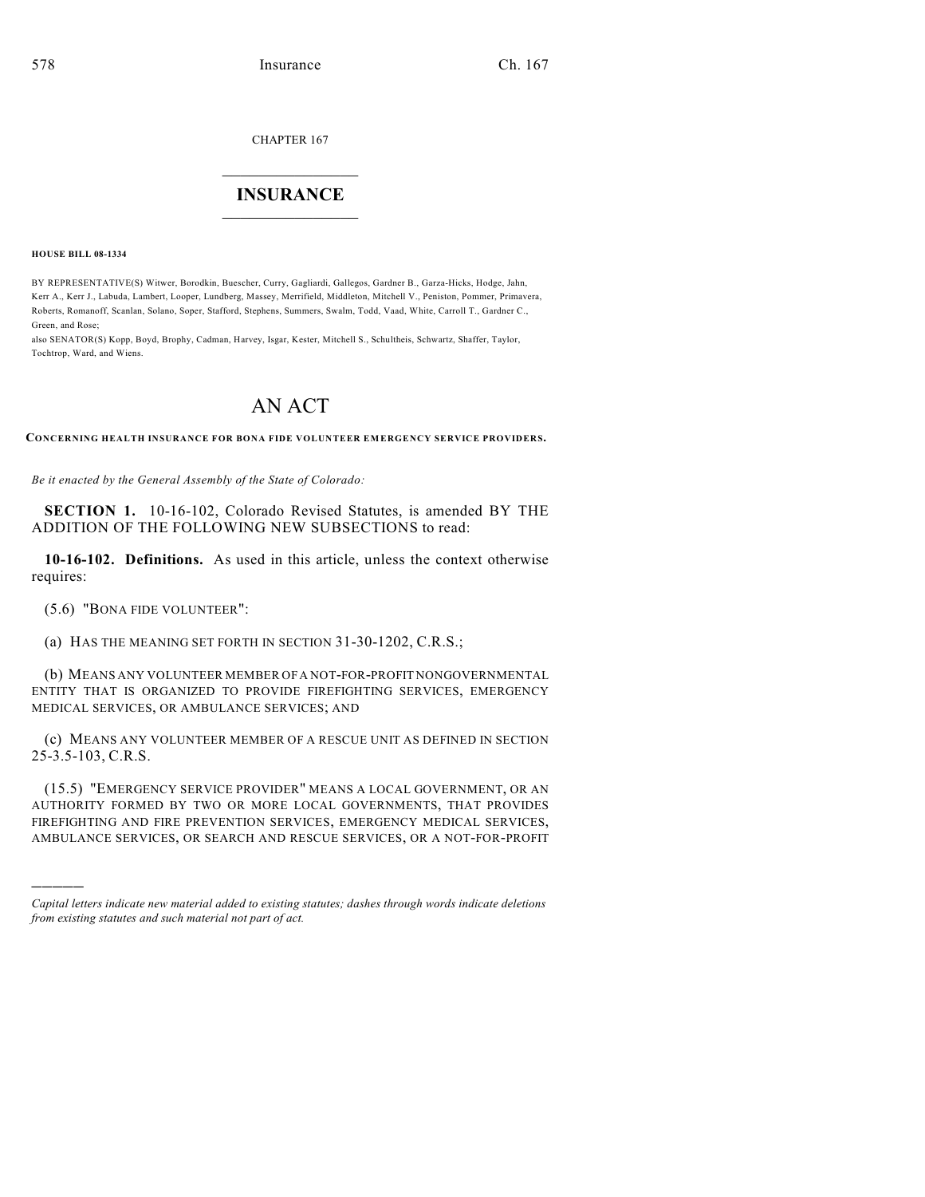CHAPTER 167

## $\overline{\phantom{a}}$  . The set of the set of the set of the set of the set of the set of the set of the set of the set of the set of the set of the set of the set of the set of the set of the set of the set of the set of the set o **INSURANCE**  $\frac{1}{2}$  ,  $\frac{1}{2}$  ,  $\frac{1}{2}$  ,  $\frac{1}{2}$  ,  $\frac{1}{2}$  ,  $\frac{1}{2}$  ,  $\frac{1}{2}$

**HOUSE BILL 08-1334**

BY REPRESENTATIVE(S) Witwer, Borodkin, Buescher, Curry, Gagliardi, Gallegos, Gardner B., Garza-Hicks, Hodge, Jahn, Kerr A., Kerr J., Labuda, Lambert, Looper, Lundberg, Massey, Merrifield, Middleton, Mitchell V., Peniston, Pommer, Primavera, Roberts, Romanoff, Scanlan, Solano, Soper, Stafford, Stephens, Summers, Swalm, Todd, Vaad, White, Carroll T., Gardner C., Green, and Rose;

also SENATOR(S) Kopp, Boyd, Brophy, Cadman, Harvey, Isgar, Kester, Mitchell S., Schultheis, Schwartz, Shaffer, Taylor, Tochtrop, Ward, and Wiens.

## AN ACT

**CONCERNING HEALTH INSURANCE FOR BONA FIDE VOLUNTEER EMERGENCY SERVICE PROVIDERS.**

*Be it enacted by the General Assembly of the State of Colorado:*

**SECTION 1.** 10-16-102, Colorado Revised Statutes, is amended BY THE ADDITION OF THE FOLLOWING NEW SUBSECTIONS to read:

**10-16-102. Definitions.** As used in this article, unless the context otherwise requires:

(5.6) "BONA FIDE VOLUNTEER":

)))))

(a) HAS THE MEANING SET FORTH IN SECTION 31-30-1202, C.R.S.;

(b) MEANS ANY VOLUNTEER MEMBER OF A NOT-FOR-PROFIT NONGOVERNMENTAL ENTITY THAT IS ORGANIZED TO PROVIDE FIREFIGHTING SERVICES, EMERGENCY MEDICAL SERVICES, OR AMBULANCE SERVICES; AND

(c) MEANS ANY VOLUNTEER MEMBER OF A RESCUE UNIT AS DEFINED IN SECTION 25-3.5-103, C.R.S.

(15.5) "EMERGENCY SERVICE PROVIDER" MEANS A LOCAL GOVERNMENT, OR AN AUTHORITY FORMED BY TWO OR MORE LOCAL GOVERNMENTS, THAT PROVIDES FIREFIGHTING AND FIRE PREVENTION SERVICES, EMERGENCY MEDICAL SERVICES, AMBULANCE SERVICES, OR SEARCH AND RESCUE SERVICES, OR A NOT-FOR-PROFIT

*Capital letters indicate new material added to existing statutes; dashes through words indicate deletions from existing statutes and such material not part of act.*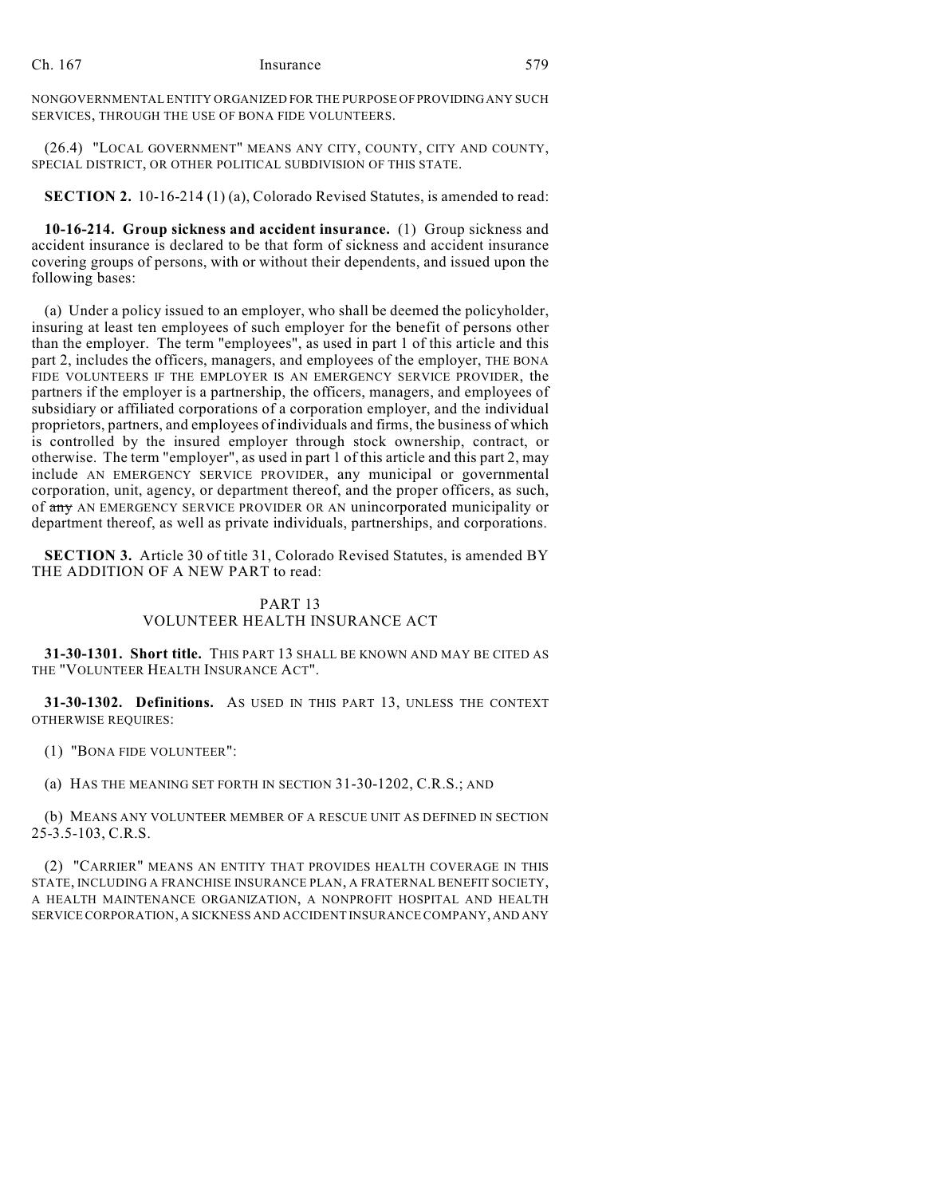## Ch. 167 Insurance 579

NONGOVERNMENTAL ENTITY ORGANIZED FOR THE PURPOSE OF PROVIDING ANY SUCH SERVICES, THROUGH THE USE OF BONA FIDE VOLUNTEERS.

(26.4) "LOCAL GOVERNMENT" MEANS ANY CITY, COUNTY, CITY AND COUNTY, SPECIAL DISTRICT, OR OTHER POLITICAL SUBDIVISION OF THIS STATE.

**SECTION 2.** 10-16-214 (1) (a), Colorado Revised Statutes, is amended to read:

**10-16-214. Group sickness and accident insurance.** (1) Group sickness and accident insurance is declared to be that form of sickness and accident insurance covering groups of persons, with or without their dependents, and issued upon the following bases:

(a) Under a policy issued to an employer, who shall be deemed the policyholder, insuring at least ten employees of such employer for the benefit of persons other than the employer. The term "employees", as used in part 1 of this article and this part 2, includes the officers, managers, and employees of the employer, THE BONA FIDE VOLUNTEERS IF THE EMPLOYER IS AN EMERGENCY SERVICE PROVIDER, the partners if the employer is a partnership, the officers, managers, and employees of subsidiary or affiliated corporations of a corporation employer, and the individual proprietors, partners, and employees of individuals and firms, the business of which is controlled by the insured employer through stock ownership, contract, or otherwise. The term "employer", as used in part 1 of this article and this part 2, may include AN EMERGENCY SERVICE PROVIDER, any municipal or governmental corporation, unit, agency, or department thereof, and the proper officers, as such, of any AN EMERGENCY SERVICE PROVIDER OR AN unincorporated municipality or department thereof, as well as private individuals, partnerships, and corporations.

**SECTION 3.** Article 30 of title 31, Colorado Revised Statutes, is amended BY THE ADDITION OF A NEW PART to read:

## PART 13 VOLUNTEER HEALTH INSURANCE ACT

**31-30-1301. Short title.** THIS PART 13 SHALL BE KNOWN AND MAY BE CITED AS THE "VOLUNTEER HEALTH INSURANCE ACT".

**31-30-1302. Definitions.** AS USED IN THIS PART 13, UNLESS THE CONTEXT OTHERWISE REQUIRES:

(1) "BONA FIDE VOLUNTEER":

(a) HAS THE MEANING SET FORTH IN SECTION 31-30-1202, C.R.S.; AND

(b) MEANS ANY VOLUNTEER MEMBER OF A RESCUE UNIT AS DEFINED IN SECTION 25-3.5-103, C.R.S.

(2) "CARRIER" MEANS AN ENTITY THAT PROVIDES HEALTH COVERAGE IN THIS STATE, INCLUDING A FRANCHISE INSURANCE PLAN, A FRATERNAL BENEFIT SOCIETY, A HEALTH MAINTENANCE ORGANIZATION, A NONPROFIT HOSPITAL AND HEALTH SERVICE CORPORATION, A SICKNESS AND ACCIDENT INSURANCE COMPANY, AND ANY